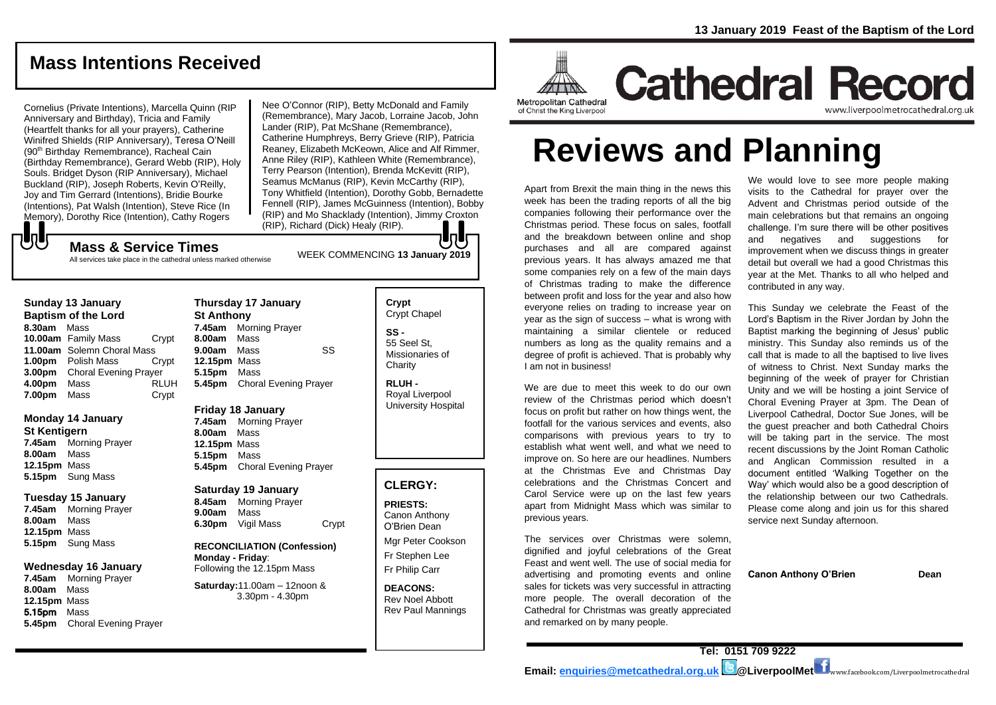# **Mass Intentions Received**

Cornelius (Private Intentions), Marcella Quinn (RIP Anniversary and Birthday), Tricia and Family (Heartfelt thanks for all your prayers), Catherine Winifred Shields (RIP Anniversary), Teresa O'Neill (90<sup>th</sup> Birthday Remembrance), Racheal Cain (Birthday Remembrance), Gerard Webb (RIP), Holy Souls. Bridget Dyson (RIP Anniversary), Michael Buckland (RIP), Joseph Roberts, Kevin O'Reilly, Joy and Tim Gerrard (Intentions), Bridie Bourke (Intentions), Pat Walsh (Intention), Steve Rice (In Memory), Dorothy Rice (Intention), Cathy Rogers

Nee O'Connor (RIP), Betty McDonald and Family (Remembrance), Mary Jacob, Lorraine Jacob, John Lander (RIP), Pat McShane (Remembrance), Catherine Humphreys, Berry Grieve (RIP), Patricia Reaney, Elizabeth McKeown, Alice and Alf Rimmer, Anne Riley (RIP), Kathleen White (Remembrance), Terry Pearson (Intention), Brenda McKevitt (RIP), Seamus McManus (RIP), Kevin McCarthy (RIP), Tony Whitfield (Intention), Dorothy Gobb, Bernadette Fennell (RIP), James McGuinness (Intention), Bobby (RIP) and Mo Shacklady (Intention), Jimmy Croxton (RIP), Richard (Dick) Healy (RIP).

# もし WEEK COMMENCING **<sup>13</sup> January 2019 Mass & Service Times**

All services take place in the cathedral unless marked otherwise

#### **Sunday 13 January Baptism of the Lord 8.30am** Mass **10.00am** Family Mass Crypt **11.00am** Solemn Choral Mass **1.00pm** Polish Mass Crypt **3.00pm** Choral Evening Prayer

**4.00pm** Mass RLUH **7.00pm** Mass Crypt

# **Monday 14 January**

**St Kentigern 7.45am** Morning Prayer **8.00am** Mass **12.15pm** Mass **5.15pm** Sung Mass

#### **Tuesday 15 January**

**7.45am** Morning Prayer **8.00am** Mass **12.15pm** Mass **5.15pm** Sung Mass

#### **Wednesday 16 January**

**7.45am** Morning Prayer **8.00am** Mass **12.15pm** Mass 5.15pm Mass **5.45pm** Choral Evening Prayer

### **Thursday 17 January St Anthony 7.45am** Morning Prayer **8.00am** Mass **9.00am** Mass SS **12.15pm** Mass **5.15pm** Mass **5.45pm** Choral Evening Prayer

**Friday 18 January 7.45am** Morning Prayer **8.00am** Mass **12.15pm** Mass

**5.15pm** Mass **5.45pm** Choral Evening Prayer

## **Saturday 19 January**

**8.45am** Morning Prayer **9.00am** Mass **6.30pm** Vigil Mass Crypt

**RECONCILIATION (Confession) Monday - Friday**: Following the 12.15pm Mass

**Saturday:**11.00am – 12noon & 3.30pm - 4.30pm

**Crypt**  Crypt Chapel **SS -** 55 Seel St, Missionaries of **Charity** 

**RLUH -** Royal Liverpool University Hospital

# **CLERGY:**

**PRIESTS:** Canon Anthony O'Brien *Dean*

Mgr Peter Cookson Fr Stephen Lee Fr Philip Carr

**DEACONS:** Rev Noel Abbott Rev Paul Mannings



**Cathedral Record** www.liverpoolmetrocathedral.org.ul

# **Reviews and Planning**

Apart from Brexit the main thing in the news this week has been the trading reports of all the big companies following their performance over the Christmas period. These focus on sales, footfall and the breakdown between online and shop purchases and all are compared against previous years. It has always amazed me that some companies rely on a few of the main days of Christmas trading to make the difference between profit and loss for the year and also how everyone relies on trading to increase year on  $vear$  as the sign of success – what is wrong with maintaining a similar clientele or reduced numbers as long as the quality remains and a degree of profit is achieved. That is probably why I am not in business!

We are due to meet this week to do our own review of the Christmas period which doesn't focus on profit but rather on how things went, the footfall for the various services and events, also comparisons with previous years to try to establish what went well, and what we need to improve on. So here are our headlines. Numbers at the Christmas Eve and Christmas Day celebrations and the Christmas Concert and Carol Service were up on the last few years apart from Midnight Mass which was similar to previous years.

The services over Christmas were solemn, dignified and joyful celebrations of the Great Feast and went well. The use of social media for advertising and promoting events and online sales for tickets was very successful in attracting more people. The overall decoration of the Cathedral for Christmas was greatly appreciated and remarked on by many people.

We would love to see more people making visits to the Cathedral for prayer over the Advent and Christmas period outside of the main celebrations but that remains an ongoing challenge. I'm sure there will be other positives and negatives and suggestions for improvement when we discuss things in greater detail but overall we had a good Christmas this year at the Met. Thanks to all who helped and contributed in any way.

This Sunday we celebrate the Feast of the Lord's Baptism in the River Jordan by John the Baptist marking the beginning of Jesus' public ministry. This Sunday also reminds us of the call that is made to all the baptised to live lives of witness to Christ. Next Sunday marks the beginning of the week of prayer for Christian Unity and we will be hosting a joint Service of Choral Evening Prayer at 3pm. The Dean of Liverpool Cathedral, Doctor Sue Jones, will be the guest preacher and both Cathedral Choirs will be taking part in the service. The most recent discussions by the Joint Roman Catholic and Anglican Commission resulted in a document entitled 'Walking Together on the Way' which would also be a good description of the relationship between our two Cathedrals. Please come along and join us for this shared service next Sunday afternoon.

**Canon Anthony O'Brien Dean**